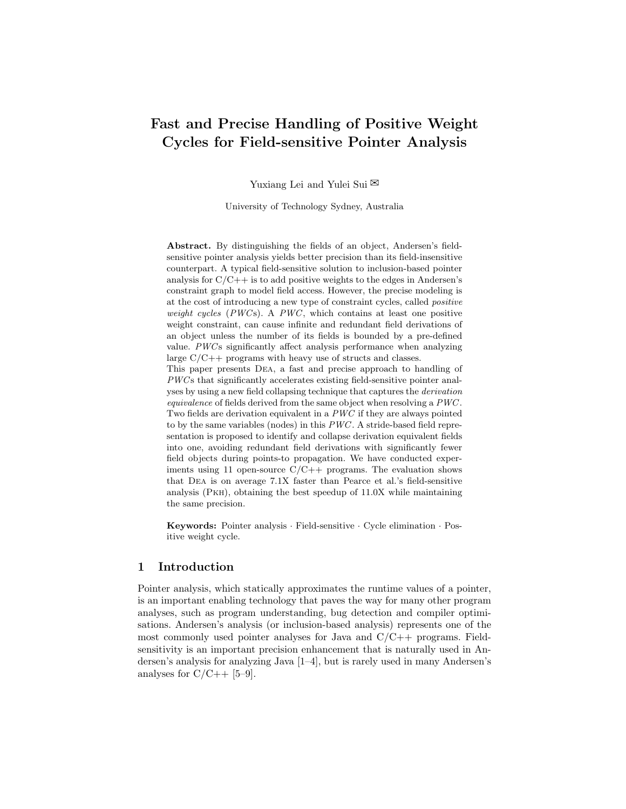# Fast and Precise Handling of Positive Weight Cycles for Field-sensitive Pointer Analysis

Yuxiang Lei and Yulei Sui 

University of Technology Sydney, Australia

Abstract. By distinguishing the fields of an object, Andersen's fieldsensitive pointer analysis yields better precision than its field-insensitive counterpart. A typical field-sensitive solution to inclusion-based pointer analysis for  $C/C++$  is to add positive weights to the edges in Andersen's constraint graph to model field access. However, the precise modeling is at the cost of introducing a new type of constraint cycles, called positive weight cycles ( $PWC$ s). A  $PWC$ , which contains at least one positive weight constraint, can cause infinite and redundant field derivations of an object unless the number of its fields is bounded by a pre-defined value. PWCs significantly affect analysis performance when analyzing large C/C++ programs with heavy use of structs and classes. This paper presents Dea, a fast and precise approach to handling of PWCs that significantly accelerates existing field-sensitive pointer analyses by using a new field collapsing technique that captures the derivation equivalence of fields derived from the same object when resolving a PWC. Two fields are derivation equivalent in a PWC if they are always pointed to by the same variables (nodes) in this PWC. A stride-based field representation is proposed to identify and collapse derivation equivalent fields into one, avoiding redundant field derivations with significantly fewer field objects during points-to propagation. We have conducted experiments using 11 open-source  $C/C++$  programs. The evaluation shows that Dea is on average 7.1X faster than Pearce et al.'s field-sensitive analysis (Pkh), obtaining the best speedup of 11.0X while maintaining the same precision.

Keywords: Pointer analysis · Field-sensitive · Cycle elimination · Positive weight cycle.

# 1 Introduction

Pointer analysis, which statically approximates the runtime values of a pointer, is an important enabling technology that paves the way for many other program analyses, such as program understanding, bug detection and compiler optimisations. Andersen's analysis (or inclusion-based analysis) represents one of the most commonly used pointer analyses for Java and  $C/C++$  programs. Fieldsensitivity is an important precision enhancement that is naturally used in Andersen's analysis for analyzing Java [1–4], but is rarely used in many Andersen's analyses for  $C/C++$  [5–9].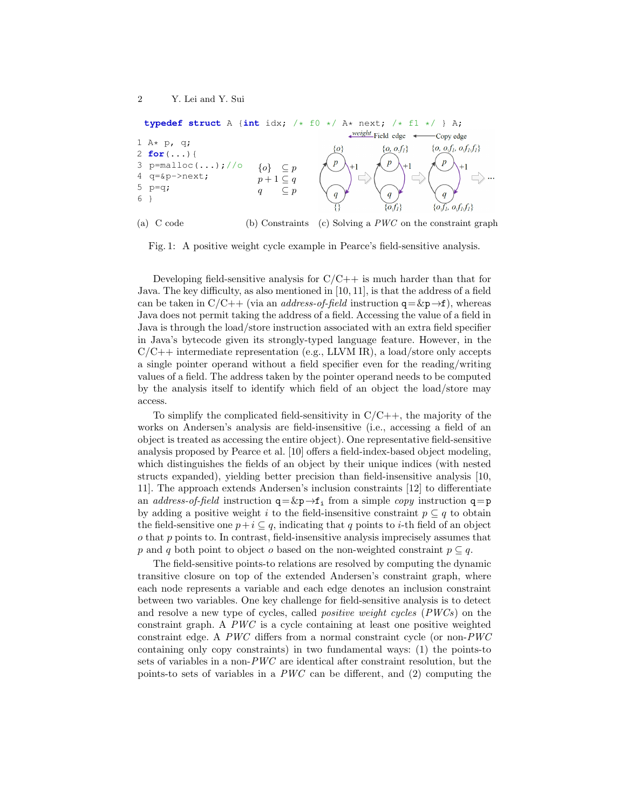

Fig. 1: A positive weight cycle example in Pearce's field-sensitive analysis.

Developing field-sensitive analysis for  $C/C++$  is much harder than that for Java. The key difficulty, as also mentioned in [10, 11], is that the address of a field can be taken in  $C/C++$  (via an *address-of-field* instruction  $q = \&p \rightarrow f$ ), whereas Java does not permit taking the address of a field. Accessing the value of a field in Java is through the load/store instruction associated with an extra field specifier in Java's bytecode given its strongly-typed language feature. However, in the  $C/C++$  intermediate representation (e.g., LLVM IR), a load/store only accepts a single pointer operand without a field specifier even for the reading/writing values of a field. The address taken by the pointer operand needs to be computed by the analysis itself to identify which field of an object the load/store may access.

To simplify the complicated field-sensitivity in  $C/C++$ , the majority of the works on Andersen's analysis are field-insensitive (i.e., accessing a field of an object is treated as accessing the entire object). One representative field-sensitive analysis proposed by Pearce et al. [10] offers a field-index-based object modeling, which distinguishes the fields of an object by their unique indices (with nested structs expanded), yielding better precision than field-insensitive analysis [10, 11]. The approach extends Andersen's inclusion constraints [12] to differentiate an *address-of-field* instruction  $q = \&p \rightarrow f_i$  from a simple *copy* instruction  $q = p$ by adding a positive weight i to the field-insensitive constraint  $p \subseteq q$  to obtain the field-sensitive one  $p+i\subseteq q$ , indicating that q points to i-th field of an object o that p points to. In contrast, field-insensitive analysis imprecisely assumes that p and q both point to object o based on the non-weighted constraint  $p \subseteq q$ .

The field-sensitive points-to relations are resolved by computing the dynamic transitive closure on top of the extended Andersen's constraint graph, where each node represents a variable and each edge denotes an inclusion constraint between two variables. One key challenge for field-sensitive analysis is to detect and resolve a new type of cycles, called positive weight cycles (PWCs) on the constraint graph. A PWC is a cycle containing at least one positive weighted constraint edge. A PWC differs from a normal constraint cycle (or non-PWC containing only copy constraints) in two fundamental ways: (1) the points-to sets of variables in a non-PWC are identical after constraint resolution, but the points-to sets of variables in a  $PWC$  can be different, and (2) computing the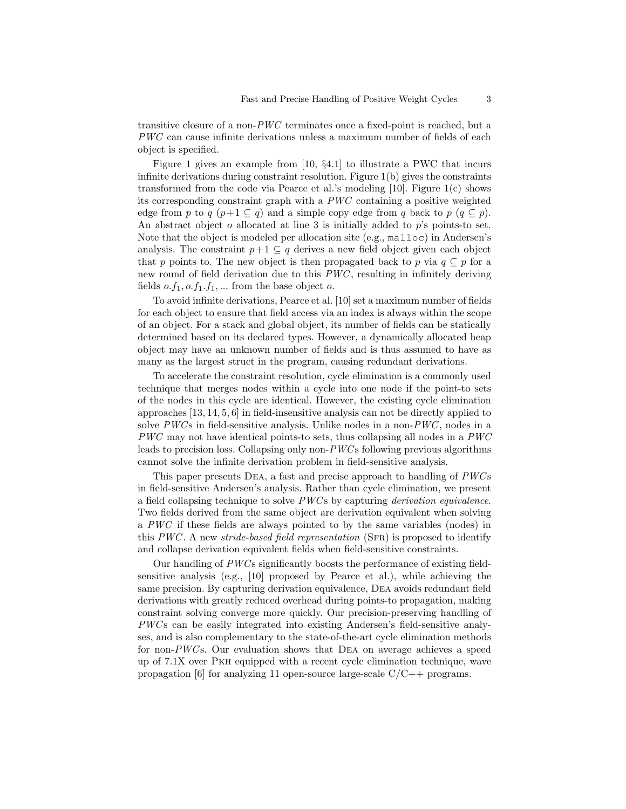transitive closure of a non-PWC terminates once a fixed-point is reached, but a PWC can cause infinite derivations unless a maximum number of fields of each object is specified.

Figure 1 gives an example from [10, §4.1] to illustrate a PWC that incurs infinite derivations during constraint resolution. Figure 1(b) gives the constraints transformed from the code via Pearce et al.'s modeling [10]. Figure 1(c) shows its corresponding constraint graph with a PWC containing a positive weighted edge from p to q  $(p+1 \subseteq q)$  and a simple copy edge from q back to p  $(q \subseteq p)$ . An abstract object  $o$  allocated at line 3 is initially added to  $p$ 's points-to set. Note that the object is modeled per allocation site (e.g., malloc) in Andersen's analysis. The constraint  $p+1 \subseteq q$  derives a new field object given each object that p points to. The new object is then propagated back to p via  $q \subseteq p$  for a new round of field derivation due to this PWC , resulting in infinitely deriving fields  $o.f_1, o.f_1.f_1, \dots$  from the base object  $o.$ 

To avoid infinite derivations, Pearce et al. [10] set a maximum number of fields for each object to ensure that field access via an index is always within the scope of an object. For a stack and global object, its number of fields can be statically determined based on its declared types. However, a dynamically allocated heap object may have an unknown number of fields and is thus assumed to have as many as the largest struct in the program, causing redundant derivations.

To accelerate the constraint resolution, cycle elimination is a commonly used technique that merges nodes within a cycle into one node if the point-to sets of the nodes in this cycle are identical. However, the existing cycle elimination approaches [13, 14, 5, 6] in field-insensitive analysis can not be directly applied to solve  $PWC$ s in field-sensitive analysis. Unlike nodes in a non- $PWC$ , nodes in a PWC may not have identical points-to sets, thus collapsing all nodes in a PWC leads to precision loss. Collapsing only non-PWC s following previous algorithms cannot solve the infinite derivation problem in field-sensitive analysis.

This paper presents DEA, a fast and precise approach to handling of  $PWC$ s in field-sensitive Andersen's analysis. Rather than cycle elimination, we present a field collapsing technique to solve *PWC*s by capturing *derivation equivalence*. Two fields derived from the same object are derivation equivalent when solving a PWC if these fields are always pointed to by the same variables (nodes) in this  $PWC$ . A new stride-based field representation (SFR) is proposed to identify and collapse derivation equivalent fields when field-sensitive constraints.

Our handling of  $PWC$  significantly boosts the performance of existing fieldsensitive analysis (e.g., [10] proposed by Pearce et al.), while achieving the same precision. By capturing derivation equivalence, Dea avoids redundant field derivations with greatly reduced overhead during points-to propagation, making constraint solving converge more quickly. Our precision-preserving handling of  $PWC$  s can be easily integrated into existing Andersen's field-sensitive analyses, and is also complementary to the state-of-the-art cycle elimination methods for non- $PWC$  s. Our evaluation shows that DEA on average achieves a speed up of 7.1X over Pkh equipped with a recent cycle elimination technique, wave propagation [6] for analyzing 11 open-source large-scale  $C/C++$  programs.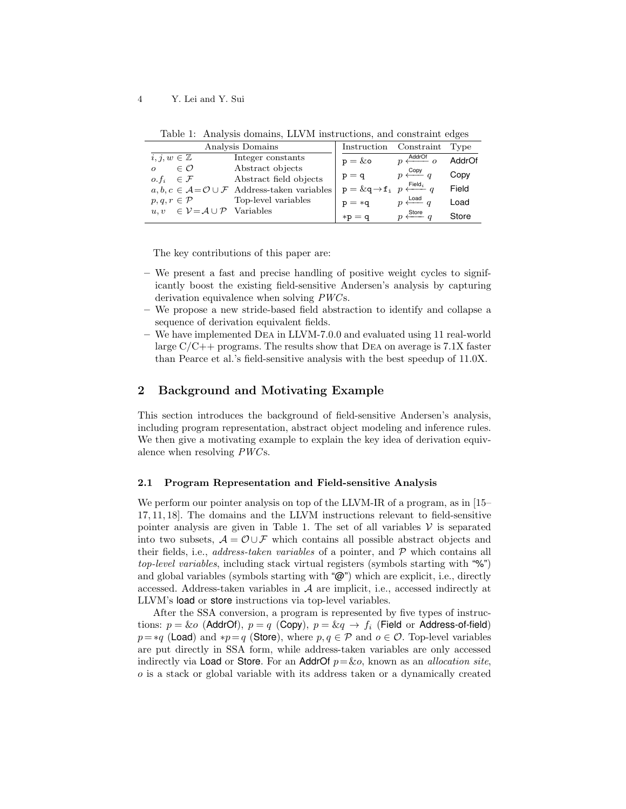|                                                                 | Analysis Domains                                                                 | Instruction Constraint Type                                                                   |                                       |        |
|-----------------------------------------------------------------|----------------------------------------------------------------------------------|-----------------------------------------------------------------------------------------------|---------------------------------------|--------|
| $i, j, w \in \mathbb{Z}$                                        | Integer constants                                                                | $p = \&o$                                                                                     | $p \xleftarrow{\text{AddrOf}} o$      | AddrOf |
| $\in \mathcal{O}$<br>$\Omega$<br>$o.f_i \in \mathcal{F}$        | Abstract objects<br>Abstract field objects                                       | $p = q$                                                                                       | $p \stackrel{Copy}{\longleftarrow} q$ | Copy   |
|                                                                 | $a, b, c \in \mathcal{A} = \mathcal{O} \cup \mathcal{F}$ Address-taken variables | $\mathtt{p} = \& \mathtt{q} {\rightarrow} \mathtt{f_i} \ \ p \xleftarrow{\mathsf{Field}_i} q$ |                                       | Field  |
| $p,q,r \in \mathcal{P}$                                         | Top-level variables                                                              | $p = *q$                                                                                      | $p \xleftarrow{\text{Load}}$          | Load   |
| $u, v \in \mathcal{V} = \mathcal{A} \cup \mathcal{P}$ Variables |                                                                                  | $\ast p = q$                                                                                  | $p \xleftarrow{\text{Store}}$         | Store  |

Table 1: Analysis domains, LLVM instructions, and constraint edges

The key contributions of this paper are:

- We present a fast and precise handling of positive weight cycles to significantly boost the existing field-sensitive Andersen's analysis by capturing derivation equivalence when solving  $PWCs$ .
- We propose a new stride-based field abstraction to identify and collapse a sequence of derivation equivalent fields.
- We have implemented Dea in LLVM-7.0.0 and evaluated using 11 real-world large  $C/C++$  programs. The results show that DEA on average is 7.1X faster than Pearce et al.'s field-sensitive analysis with the best speedup of 11.0X.

# 2 Background and Motivating Example

This section introduces the background of field-sensitive Andersen's analysis, including program representation, abstract object modeling and inference rules. We then give a motivating example to explain the key idea of derivation equivalence when resolving  $PWC_s$ .

## 2.1 Program Representation and Field-sensitive Analysis

We perform our pointer analysis on top of the LLVM-IR of a program, as in [15– 17, 11, 18]. The domains and the LLVM instructions relevant to field-sensitive pointer analysis are given in Table 1. The set of all variables  $V$  is separated into two subsets,  $\mathcal{A} = \mathcal{O} \cup \mathcal{F}$  which contains all possible abstract objects and their fields, i.e., *address-taken variables* of a pointer, and  $P$  which contains all top-level variables, including stack virtual registers (symbols starting with "%") and global variables (symbols starting with "@") which are explicit, i.e., directly accessed. Address-taken variables in A are implicit, i.e., accessed indirectly at LLVM's load or store instructions via top-level variables.

After the SSA conversion, a program is represented by five types of instructions:  $p = \&\circ$  (AddrOf),  $p = q$  (Copy),  $p = \&\circ q \rightarrow f_i$  (Field or Address-of-field)  $p = *q$  (Load) and  $*p = q$  (Store), where  $p, q \in \mathcal{P}$  and  $o \in \mathcal{O}$ . Top-level variables are put directly in SSA form, while address-taken variables are only accessed indirectly via Load or Store. For an AddrOf  $p = \& o$ , known as an *allocation site*, o is a stack or global variable with its address taken or a dynamically created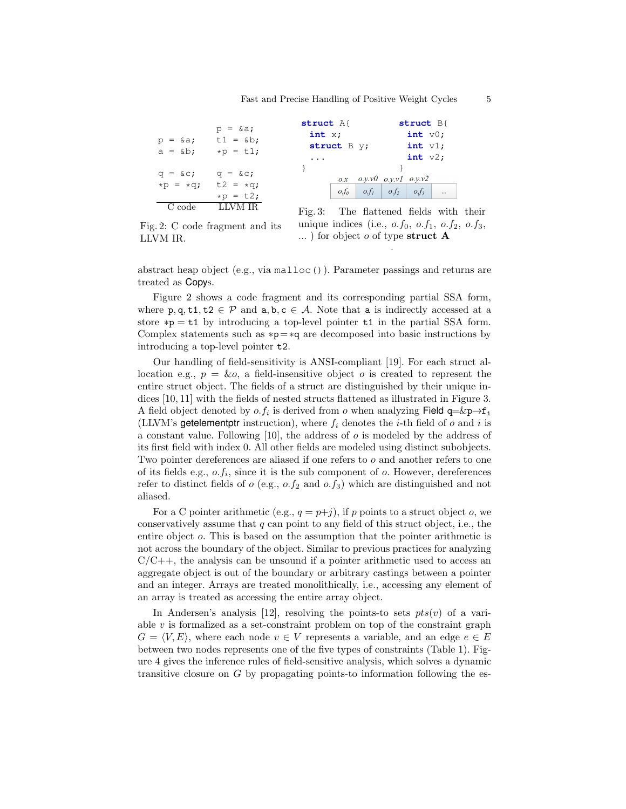| $p = \&a$<br>$a = \&b$ : | $p = \&a$<br>$t1 = \delta b;$<br>$\star p = t1$ ; | int x;<br>.      | struct A{<br>struct $B y$ ; |  |                   | struct B{<br>int $v0$ ;<br>int $v1$ ;<br>int $v2$ ; |  |  |
|--------------------------|---------------------------------------------------|------------------|-----------------------------|--|-------------------|-----------------------------------------------------|--|--|
| $q = \&c$                | $q = \&c$                                         | O.X              | $o.y.v0$ $o.y.v1$ $o.y.v2$  |  |                   |                                                     |  |  |
| $\star p = \star q;$     | $t2 = \star q;$<br>$*{\rm p} = {\rm t2}$ ;        | $o.f_o$          | $o.f_1$                     |  | $o.f_2$   $o.f_3$ | $\ddotsc$                                           |  |  |
| C code                   | LLVM IR                                           | $\mathbf{D}^*$ o |                             |  |                   |                                                     |  |  |

Fig. 2: C code fragment and its LLVM IR.



.

abstract heap object (e.g., via malloc()). Parameter passings and returns are treated as Copys.

Figure 2 shows a code fragment and its corresponding partial SSA form, where p, q, t1, t2  $\in \mathcal{P}$  and a, b, c  $\in \mathcal{A}$ . Note that a is indirectly accessed at a store  $\ast p = \mathtt{t1}$  by introducing a top-level pointer  $\mathtt{t1}$  in the partial SSA form. Complex statements such as  $\ast p = \ast q$  are decomposed into basic instructions by introducing a top-level pointer t2.

Our handling of field-sensitivity is ANSI-compliant [19]. For each struct allocation e.g.,  $p = \&\text{o}$ , a field-insensitive object  $\sigma$  is created to represent the entire struct object. The fields of a struct are distinguished by their unique indices [10, 11] with the fields of nested structs flattened as illustrated in Figure 3. A field object denoted by  $o.f_i$  is derived from  $o$  when analyzing Field  $q = \&p \rightarrow f_i$ (LLVM's getelementptr instruction), where  $f_i$  denotes the *i*-th field of *o* and *i* is a constant value. Following [10], the address of o is modeled by the address of its first field with index 0. All other fields are modeled using distinct subobjects. Two pointer dereferences are aliased if one refers to  $o$  and another refers to one of its fields e.g.,  $o.f_i$ , since it is the sub component of  $o$ . However, dereferences refer to distinct fields of  $o$  (e.g.,  $o.f_2$  and  $o.f_3$ ) which are distinguished and not aliased.

For a C pointer arithmetic (e.g.,  $q = p+j$ ), if p points to a struct object o, we conservatively assume that  $q$  can point to any field of this struct object, i.e., the entire object o. This is based on the assumption that the pointer arithmetic is not across the boundary of the object. Similar to previous practices for analyzing  $C/C++$ , the analysis can be unsound if a pointer arithmetic used to access an aggregate object is out of the boundary or arbitrary castings between a pointer and an integer. Arrays are treated monolithically, i.e., accessing any element of an array is treated as accessing the entire array object.

In Andersen's analysis [12], resolving the points-to sets  $pts(v)$  of a variable  $v$  is formalized as a set-constraint problem on top of the constraint graph  $G = \langle V, E \rangle$ , where each node  $v \in V$  represents a variable, and an edge  $e \in E$ between two nodes represents one of the five types of constraints (Table 1). Figure 4 gives the inference rules of field-sensitive analysis, which solves a dynamic transitive closure on  $G$  by propagating points-to information following the es-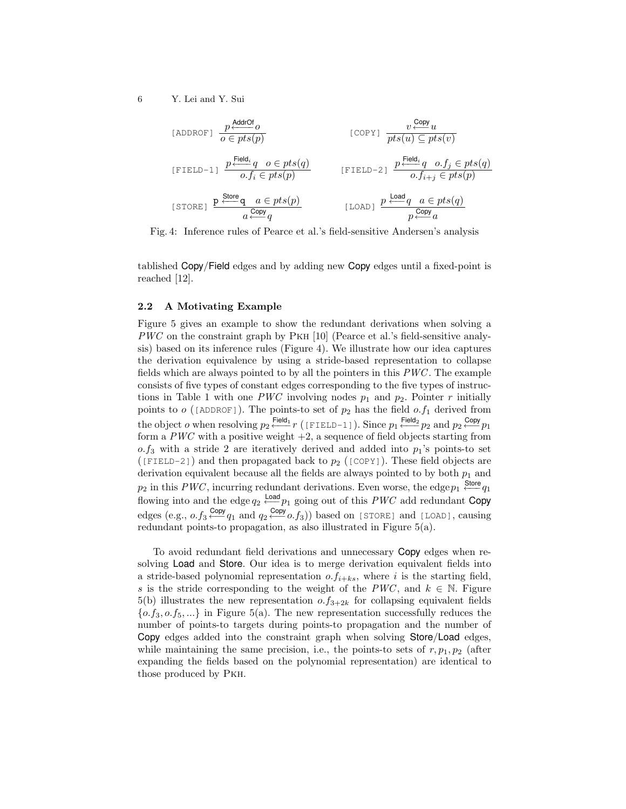6 Y. Lei and Y. Sui

[ADDROF] 
$$
\frac{p \stackrel{\text{Add of } o}{\leftarrow} \text{plot}(p)}{p \cdot \text{plot}(p)}
$$
 [COPY]  $\frac{v \stackrel{\text{Copy } u}{\leftarrow} \text{plot}(v)}{p \cdot \text{plot}(v)}$   
\n[FIELD-1]  $\frac{p \stackrel{\text{Field } i}{\leftarrow} q \quad o \in pts(q)}{o \cdot f_i \in pts(p)}$  [FIELD-2]  $\frac{p \stackrel{\text{Field } i}{\leftarrow} q \quad o \cdot f_j \in pts(q)}{o \cdot f_{i+j} \in pts(p)}$   
\n[STORE]  $\frac{p \stackrel{\text{Store } q}{\leftarrow} a \in pts(p)}{a \stackrel{\text{Copy } q}{\leftarrow} q}$  [LOAD]  $\frac{p \stackrel{\text{Load } q}{\leftarrow} a \in pts(q)}{p \stackrel{\text{Copy } a}{\leftarrow} q}$ 

Fig. 4: Inference rules of Pearce et al.'s field-sensitive Andersen's analysis

tablished Copy/Field edges and by adding new Copy edges until a fixed-point is reached [12].

## 2.2 A Motivating Example

Figure 5 gives an example to show the redundant derivations when solving a PWC on the constraint graph by PKH [10] (Pearce et al.'s field-sensitive analysis) based on its inference rules (Figure 4). We illustrate how our idea captures the derivation equivalence by using a stride-based representation to collapse fields which are always pointed to by all the pointers in this PWC . The example consists of five types of constant edges corresponding to the five types of instructions in Table 1 with one PWC involving nodes  $p_1$  and  $p_2$ . Pointer r initially points to  $o$  ([ADDROF]). The points-to set of  $p_2$  has the field  $o.f_1$  derived from the object  $o$  when resolving  $p_2 \stackrel{\mathsf{Field}_1}{\longleftarrow} r$  ([FIELD-1]). Since  $p_1 \stackrel{\mathsf{Field}_2}{\longleftarrow} p_2$  and  $p_2 \stackrel{\mathsf{Copy}}{\longleftarrow} p_1$ form a  $PWC$  with a positive weight  $+2$ , a sequence of field objects starting from  $o.f_3$  with a stride 2 are iteratively derived and added into  $p_1$ 's points-to set ([FIELD-2]) and then propagated back to  $p_2$  ([COPY]). These field objects are derivation equivalent because all the fields are always pointed to by both  $p_1$  and  $p_2$  in this PWC, incurring redundant derivations. Even worse, the edge  $p_1 \stackrel{\text{Store}}{\longleftarrow} q_1$ flowing into and the edge  $q_2 \stackrel{\text{Load}}{\longleftarrow} p_1$  going out of this  $PWC$  add redundant Copy edges (e.g.,  $o.f_3 \xleftarrow{Copy} q_1$  and  $q_2 \xleftarrow{Copy} o.f_3)$ ) based on [STORE] and [LOAD], causing redundant points-to propagation, as also illustrated in Figure 5(a).

To avoid redundant field derivations and unnecessary Copy edges when resolving Load and Store. Our idea is to merge derivation equivalent fields into a stride-based polynomial representation  $o.f_{i+ks}$ , where i is the starting field, s is the stride corresponding to the weight of the  $PWC$ , and  $k \in \mathbb{N}$ . Figure 5(b) illustrates the new representation  $o.f_{3+2k}$  for collapsing equivalent fields  ${o.f_3, o.f_5,...}$  in Figure 5(a). The new representation successfully reduces the number of points-to targets during points-to propagation and the number of Copy edges added into the constraint graph when solving Store/Load edges, while maintaining the same precision, i.e., the points-to sets of  $r, p_1, p_2$  (after expanding the fields based on the polynomial representation) are identical to those produced by Pkh.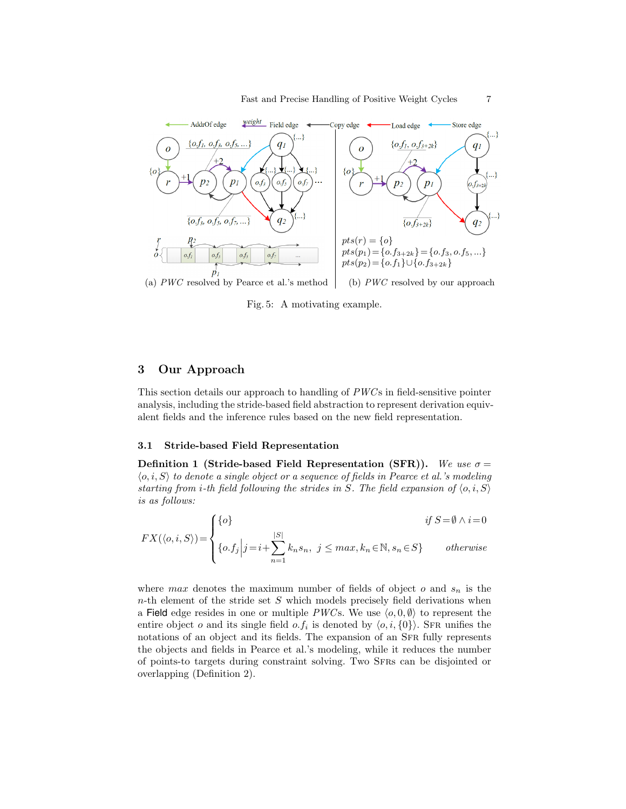

Fig. 5: A motivating example.

## 3 Our Approach

This section details our approach to handling of PWCs in field-sensitive pointer analysis, including the stride-based field abstraction to represent derivation equivalent fields and the inference rules based on the new field representation.

## 3.1 Stride-based Field Representation

Definition 1 (Stride-based Field Representation (SFR)). We use  $\sigma =$  $\langle o, i, S \rangle$  to denote a single object or a sequence of fields in Pearce et al.'s modeling starting from *i*-th field following the strides in S. The field expansion of  $\langle o, i, S \rangle$ is as follows:

$$
FX(\langle o, i, S \rangle) = \begin{cases} \{o\} & \text{if } S = \emptyset \land i = 0 \\ \{o.f_j \Big| j = i + \sum_{n=1}^{|S|} k_n s_n, \ j \leq \max, k_n \in \mathbb{N}, s_n \in S \} & \text{otherwise} \end{cases}
$$

where  $max$  denotes the maximum number of fields of object  $o$  and  $s_n$  is the  $n$ -th element of the stride set  $S$  which models precisely field derivations when a Field edge resides in one or multiple PWCs. We use  $\langle o, 0, \emptyset \rangle$  to represent the entire object *o* and its single field *o.f<sub>i</sub>* is denoted by  $\langle o, i, \{0\} \rangle$ . SFR unifies the notations of an object and its fields. The expansion of an SFR fully represents the objects and fields in Pearce et al.'s modeling, while it reduces the number of points-to targets during constraint solving. Two Sfrs can be disjointed or overlapping (Definition 2).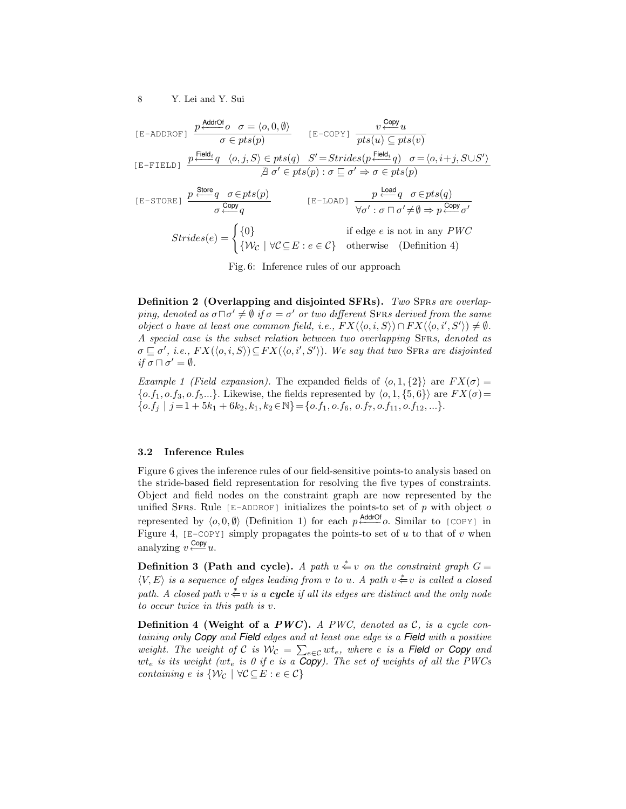$$
[E-\text{ADDROF}] \quad \frac{p \stackrel{\text{AddOf}}{\longleftarrow} o \quad \sigma = \langle o, 0, \emptyset \rangle}{\sigma \in pts(p)} \quad [E-\text{COPY}] \quad \frac{v \stackrel{\text{Copy}}{\longleftarrow} u}{\text{pts}(u) \subseteq \text{pts}(v)}
$$
\n
$$
[E-\text{FIELD}] \quad \frac{p \stackrel{\text{Field}}{\longleftarrow} q \quad \langle o, j, S \rangle \in \text{pts}(q) \quad S' = \text{Strides}(p \stackrel{\text{Field}}{\longleftarrow} q) \quad \sigma = \langle o, i+j, S \cup S' \rangle}{\text{max} \quad \sigma \in \text{pts}(p) : \sigma \sqsubseteq \sigma' \Rightarrow \sigma \in \text{pts}(p)}
$$
\n
$$
[E-\text{STORE}] \quad \frac{p \stackrel{\text{Store}}{\longleftarrow} q \quad \sigma \in \text{pts}(p)}{\sigma \stackrel{\text{Copy}}{\longleftarrow} q} \quad [E-\text{LOAD}] \quad \frac{p \stackrel{\text{Load}}{\longleftarrow} q \quad \sigma \in \text{pts}(q)}{\text{Var}': \sigma \sqcap \sigma' \neq \emptyset \Rightarrow p \stackrel{\text{Copy}}{\longleftarrow} \sigma'}
$$
\n
$$
\text{Strides}(e) = \begin{cases} \{0\} & \text{if edge } e \text{ is not in any } PWC \\ \{W_C \mid \forall C \subseteq E : e \in C\} & \text{otherwise} \end{cases} \quad \text{(Definition 4)}
$$

Fig. 6: Inference rules of our approach

Definition 2 (Overlapping and disjointed SFRs). Two SFRs are overlapping, denoted as  $\sigma \sqcap \sigma' \neq \emptyset$  if  $\sigma = \sigma'$  or two different SFRs derived from the same object o have at least one common field, i.e.,  $FX(\langle o, i, S \rangle) \cap FX(\langle o, i', S' \rangle) \neq \emptyset$ . A special case is the subset relation between two overlapping Sfrs, denoted as  $\sigma \sqsubseteq \sigma'$ , i.e.,  $FX(\langle o, i, S \rangle) \subseteq FX(\langle o, i', S' \rangle)$ . We say that two SFRs are disjointed if  $\sigma \sqcap \sigma' = \emptyset$ .

Example 1 (Field expansion). The expanded fields of  $\langle 0, 1, {2} \rangle$  are  $FX(\sigma) =$  $\{o.f_1, o.f_3, o.f_5...\}$ . Likewise, the fields represented by  $\langle o, 1, {5, 6}\rangle$  are  $FX(\sigma)$ =  $\{o.f_i \mid j = 1 + 5k_1 + 6k_2, k_1, k_2 \in \mathbb{N}\} = \{o.f_1, o.f_6, o.f_7, o.f_{11}, o.f_{12}, \ldots\}.$ 

## 3.2 Inference Rules

Figure 6 gives the inference rules of our field-sensitive points-to analysis based on the stride-based field representation for resolving the five types of constraints. Object and field nodes on the constraint graph are now represented by the unified SFRs. Rule [E-ADDROF] initializes the points-to set of  $p$  with object  $o$ represented by  $\langle o, 0, \emptyset \rangle$  (Definition 1) for each  $p \frac{\text{Add of}}{\text{codim}} o$ . Similar to [COPY] in Figure 4,  $[E-COPY]$  simply propagates the points-to set of u to that of v when analyzing  $v \stackrel{\text{Copy}}{\longleftarrow} u$ .

**Definition 3 (Path and cycle).** A path  $u \stackrel{*}{\Leftarrow} v$  on the constraint graph  $G =$  $\langle V, E \rangle$  is a sequence of edges leading from v to u. A path  $v \stackrel{*}{\Leftarrow} v$  is called a closed path. A closed path  $v \stackrel{*}{\Leftarrow} v$  is a **cycle** if all its edges are distinct and the only node to occur twice in this path is v.

**Definition 4 (Weight of a PWC).** A PWC, denoted as  $C$ , is a cycle containing only *Copy* and *Field* edges and at least one edge is a *Field* with a positive weight. The weight of C is  $W_c = \sum_{e \in C} wt_e$ , where e is a **Field** or **Copy** and  $wt_e$  is its weight (wt<sub>e</sub> is 0 if e is a  $\overrightarrow{Copy}$ ). The set of weights of all the PWCs containing e is  $\{W_c \mid \forall C \subseteq E : e \in C\}$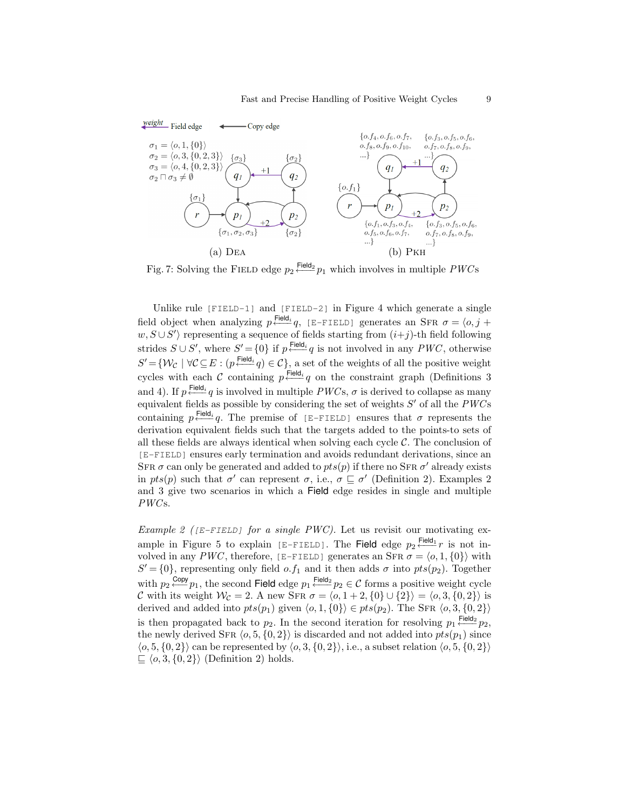

Fig. 7: Solving the FIELD edge  $p_2 \stackrel{\text{Field}_2}{\longleftarrow} p_1$  which involves in multiple  $PWCs$ 

Unlike rule [FIELD-1] and [FIELD-2] in Figure 4 which generate a single field object when analyzing  $p \stackrel{\text{Field}_i}{\longleftarrow} q$ , [E-FIELD] generates an SFR  $\sigma = \langle o, j + \rangle$  $w, S \cup S'$  representing a sequence of fields starting from  $(i+j)$ -th field following strides  $S \cup S'$ , where  $S' = \{0\}$  if  $p \stackrel{\text{Field}_i}{\longleftarrow} q$  is not involved in any  $PWC$ , otherwise  $S' = \{ \mathcal{W}_{\mathcal{C}} \mid \forall \mathcal{C} \subseteq E : (p \stackrel{\mathsf{Field}_i}{\longleftarrow} q) \in \mathcal{C} \},\$ a set of the weights of all the positive weight cycles with each C containing  $p \stackrel{\text{Field}_i}{\longleftarrow} q$  on the constraint graph (Definitions 3 and 4). If  $p \stackrel{\text{Field}_i}{\longleftarrow} q$  is involved in multiple  $PWCs$ ,  $\sigma$  is derived to collapse as many equivalent fields as possible by considering the set of weights  $S'$  of all the  $PWCs$ containing  $p \stackrel{\text{Field}_i}{\longleftarrow} q$ . The premise of [E-FIELD] ensures that  $\sigma$  represents the derivation equivalent fields such that the targets added to the points-to sets of all these fields are always identical when solving each cycle  $C$ . The conclusion of [E-FIELD] ensures early termination and avoids redundant derivations, since an SFR  $\sigma$  can only be generated and added to  $pts(p)$  if there no SFR  $\sigma'$  already exists in  $pts(p)$  such that  $\sigma'$  can represent  $\sigma$ , i.e.,  $\sigma \sqsubseteq \sigma'$  (Definition 2). Examples 2 and 3 give two scenarios in which a Field edge resides in single and multiple PWC<sub>s</sub>.

Example 2 ( $[E$ -FIELD] for a single PWC). Let us revisit our motivating example in Figure 5 to explain [E-FIELD]. The Field edge  $p_2 \stackrel{\text{Field}}{\longleftarrow} r$  is not involved in any PWC, therefore, [E-FIELD] generates an SFR  $\sigma = \langle 0, 1, \{0\} \rangle$  with  $S' = \{0\}$ , representing only field  $o.f_1$  and it then adds  $\sigma$  into  $pts(p_2)$ . Together with  $p_2 \stackrel{\text{Copy}}{\longleftarrow} p_1$ , the second Field edge  $p_1 \stackrel{\text{Field}}{\longleftarrow} p_2 \in \mathcal{C}$  forms a positive weight cycle C with its weight  $\mathcal{W}_{\mathcal{C}} = 2$ . A new SFR  $\sigma = \langle o, 1 + 2, \{0\} \cup \{2\} \rangle = \langle o, 3, \{0, 2\} \rangle$  is derived and added into  $pts(p_1)$  given  $\langle o, 1, \{0\}\rangle \in pts(p_2)$ . The SFR  $\langle o, 3, \{0, 2\}\rangle$ is then propagated back to  $p_2$ . In the second iteration for resolving  $p_1 \stackrel{\text{Field}_2}{\longleftarrow} p_2$ , the newly derived SFR  $\langle 0, 5, \{0, 2\} \rangle$  is discarded and not added into  $pts(p_1)$  since  $\langle 0, 5, \{0, 2\}\rangle$  can be represented by  $\langle 0, 3, \{0, 2\}\rangle$ , i.e., a subset relation  $\langle 0, 5, \{0, 2\}\rangle$  $\subseteq \langle 0, 3, \{0, 2\}\rangle$  (Definition 2) holds.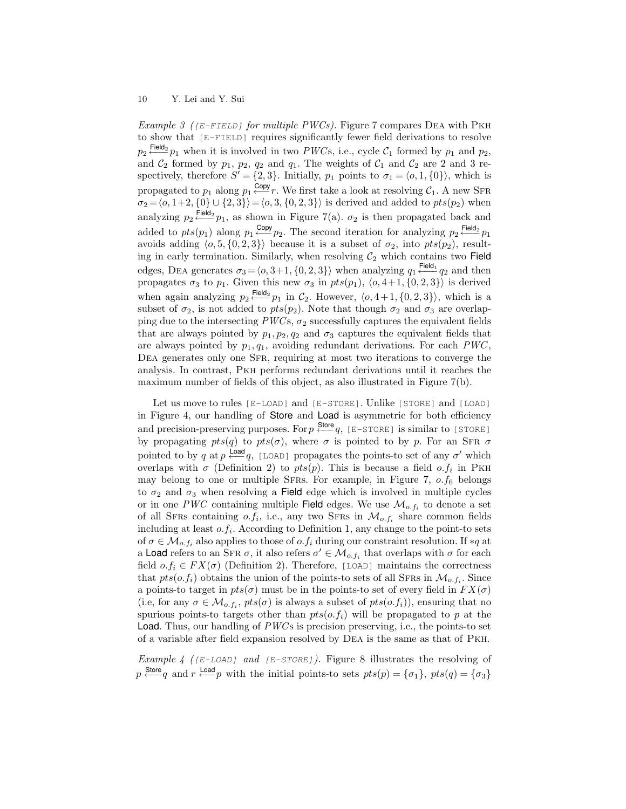*Example 3* ( $[E-FELD]$  for multiple PWCs). Figure 7 compares DEA with PKH to show that [E-FIELD] requires significantly fewer field derivations to resolve  $p_2 \stackrel{\text{Field}_2}{\longleftarrow} p_1$  when it is involved in two  $PWC$ s, i.e., cycle  $\mathcal{C}_1$  formed by  $p_1$  and  $p_2$ , and  $C_2$  formed by  $p_1$ ,  $p_2$ ,  $q_2$  and  $q_1$ . The weights of  $C_1$  and  $C_2$  are 2 and 3 respectively, therefore  $S' = \{2, 3\}$ . Initially,  $p_1$  points to  $\sigma_1 = \langle o, 1, \{0\} \rangle$ , which is propagated to  $p_1$  along  $p_1 \stackrel{Copy}{\longleftarrow} r$ . We first take a look at resolving  $C_1$ . A new SFR  $\sigma_2 = \langle o, 1+2, \{0\} \cup \{2, 3\}\rangle = \langle o, 3, \{0, 2, 3\}\rangle$  is derived and added to  $pts(p_2)$  when analyzing  $p_2 \stackrel{\text{Field}_2}{\longleftarrow} p_1$ , as shown in Figure 7(a).  $\sigma_2$  is then propagated back and added to  $pts(p_1)$  along  $p_1 \stackrel{\text{Copy}}{\longleftarrow} p_2$ . The second iteration for analyzing  $p_2 \stackrel{\text{Field}_2}{\longleftarrow} p_1$ avoids adding  $\langle 0, 5, \{0, 2, 3\}\rangle$  because it is a subset of  $\sigma_2$ , into  $pts(p_2)$ , resulting in early termination. Similarly, when resolving  $C_2$  which contains two Field edges, DEA generates  $\sigma_3 = \langle o, 3+1, \{0, 2, 3\}\rangle$  when analyzing  $q_1 \stackrel{\text{Field}}{\longleftarrow} q_2$  and then propagates  $\sigma_3$  to  $p_1$ . Given this new  $\sigma_3$  in  $pts(p_1)$ ,  $\langle 0, 4+1, \{0, 2, 3\} \rangle$  is derived when again analyzing  $p_2 \stackrel{\text{Field}_2}{\longleftarrow} p_1$  in  $\mathcal{C}_2$ . However,  $\langle o, 4+1, \{0, 2, 3\} \rangle$ , which is a subset of  $\sigma_2$ , is not added to  $pts(p_2)$ . Note that though  $\sigma_2$  and  $\sigma_3$  are overlapping due to the intersecting  $PWCs$ ,  $\sigma_2$  successfully captures the equivalent fields that are always pointed by  $p_1, p_2, q_2$  and  $\sigma_3$  captures the equivalent fields that are always pointed by  $p_1, q_1$ , avoiding redundant derivations. For each  $PWC$ , DEA generates only one SFR, requiring at most two iterations to converge the analysis. In contrast, Pkh performs redundant derivations until it reaches the maximum number of fields of this object, as also illustrated in Figure 7(b).

Let us move to rules [E-LOAD] and [E-STORE]. Unlike [STORE] and [LOAD] in Figure 4, our handling of Store and Load is asymmetric for both efficiency and precision-preserving purposes. For  $p \stackrel{\text{Store}}{\longleftarrow} q$ , [E-STORE] is similar to [STORE] by propagating  $pts(q)$  to  $pts(\sigma)$ , where  $\sigma$  is pointed to by p. For an SFR  $\sigma$ pointed to by q at  $p \stackrel{\text{load}}{\longleftarrow} q$ , [LOAD] propagates the points-to set of any  $\sigma'$  which overlaps with  $\sigma$  (Definition 2) to  $pts(p)$ . This is because a field  $o.f_i$  in PKH may belong to one or multiple SFRs. For example, in Figure 7,  $o.f_6$  belongs to  $\sigma_2$  and  $\sigma_3$  when resolving a Field edge which is involved in multiple cycles or in one PWC containing multiple Field edges. We use  $\mathcal{M}_{o.f_i}$  to denote a set of all SFRs containing  $o.f_i$ , i.e., any two SFRs in  $\mathcal{M}_{o.f_i}$  share common fields including at least  $o.f_i$ . According to Definition 1, any change to the point-to sets of  $\sigma \in \mathcal{M}_{o.f_i}$  also applies to those of  $o.f_i$  during our constraint resolution. If \*q at a **Load** refers to an SFR  $\sigma$ , it also refers  $\sigma' \in M_{o.f_i}$  that overlaps with  $\sigma$  for each field  $o.f_i \in FX(\sigma)$  (Definition 2). Therefore, [LOAD] maintains the correctness that  $pts(o.f_i)$  obtains the union of the points-to sets of all SFRs in  $\mathcal{M}_{o.f_i}$ . Since a points-to target in  $pts(\sigma)$  must be in the points-to set of every field in  $FX(\sigma)$ (i.e, for any  $\sigma \in \mathcal{M}_{o.f_i}$ ,  $pts(\sigma)$  is always a subset of  $pts(o.f_i)$ ), ensuring that no spurious points-to targets other than  $pts(o.f_i)$  will be propagated to p at the Load. Thus, our handling of  $PWC$ s is precision preserving, i.e., the points-to set of a variable after field expansion resolved by Dea is the same as that of Pkh.

Example 4 ( $[E-LOAD]$  and  $[E-STORE]$ ). Figure 8 illustrates the resolving of  $p \stackrel{\text{Store}}{\longleftarrow} q$  and  $r \stackrel{\text{Load}}{\longleftarrow} p$  with the initial points-to sets  $pts(p) = \{\sigma_1\}, \; pts(q) = \{\sigma_3\}$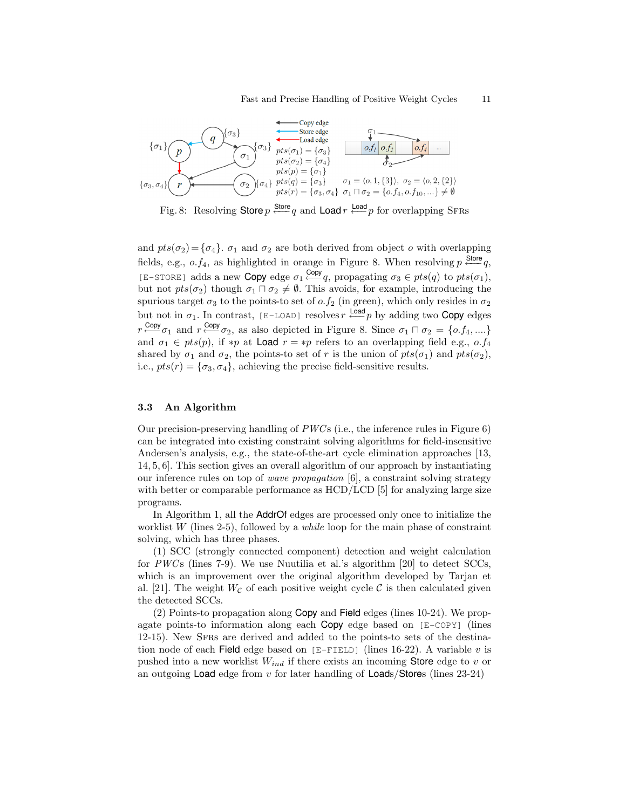

Fig. 8: Resolving Store  $p \stackrel{\text{Store}}{\longleftarrow} q$  and Load  $r \stackrel{\text{Local}}{\longleftarrow} p$  for overlapping SFRs

and  $pts(\sigma_2) = {\sigma_4}$ .  $\sigma_1$  and  $\sigma_2$  are both derived from object o with overlapping fields, e.g.,  $o.f_4$ , as highlighted in orange in Figure 8. When resolving  $p \stackrel{\text{Store}}{\longleftarrow} q$ , [E-STORE] adds a new **Copy** edge  $\sigma_1 \stackrel{\text{Copy}}{\longleftarrow} q$ , propagating  $\sigma_3 \in pts(q)$  to  $pts(\sigma_1)$ , but not  $pts(\sigma_2)$  though  $\sigma_1 \sqcap \sigma_2 \neq \emptyset$ . This avoids, for example, introducing the spurious target  $\sigma_3$  to the points-to set of  $o.f_2$  (in green), which only resides in  $\sigma_2$ but not in  $\sigma_1$ . In contrast, [E-LOAD] resolves  $r \stackrel{\text{load}}{\longleftarrow} p$  by adding two Copy edges  $r \frac{\text{Copy}}{\text{copy}} \sigma_1$  and  $r \frac{\text{Copy}}{\text{copy}} \sigma_2$ , as also depicted in Figure 8. Since  $\sigma_1 \sqcap \sigma_2 = \{o.f_4, ...\}$ and  $\sigma_1 \in pts(p)$ , if \*p at Load  $r = *p$  refers to an overlapping field e.g., o.f<sub>4</sub> shared by  $\sigma_1$  and  $\sigma_2$ , the points-to set of r is the union of  $pts(\sigma_1)$  and  $pts(\sigma_2)$ , i.e.,  $pts(r) = {\sigma_3, \sigma_4}$ , achieving the precise field-sensitive results.

## 3.3 An Algorithm

Our precision-preserving handling of  $PWCs$  (i.e., the inference rules in Figure 6) can be integrated into existing constraint solving algorithms for field-insensitive Andersen's analysis, e.g., the state-of-the-art cycle elimination approaches [13, 14, 5, 6]. This section gives an overall algorithm of our approach by instantiating our inference rules on top of wave propagation [6], a constraint solving strategy with better or comparable performance as HCD/LCD [5] for analyzing large size programs.

In Algorithm 1, all the AddrOf edges are processed only once to initialize the worklist  $W$  (lines 2-5), followed by a *while* loop for the main phase of constraint solving, which has three phases.

(1) SCC (strongly connected component) detection and weight calculation for  $PWC$  s (lines 7-9). We use Nuutilia et al.'s algorithm [20] to detect  $SCCs$ , which is an improvement over the original algorithm developed by Tarjan et al. [21]. The weight  $W_{\mathcal{C}}$  of each positive weight cycle  $\mathcal{C}$  is then calculated given the detected SCCs.

(2) Points-to propagation along Copy and Field edges (lines 10-24). We propagate points-to information along each **Copy** edge based on  $[E-COPY]$  (lines 12-15). New Sfrs are derived and added to the points-to sets of the destination node of each Field edge based on  $E-FIELD$ ] (lines 16-22). A variable v is pushed into a new worklist  $W_{ind}$  if there exists an incoming Store edge to v or an outgoing Load edge from  $v$  for later handling of Loads/Stores (lines 23-24)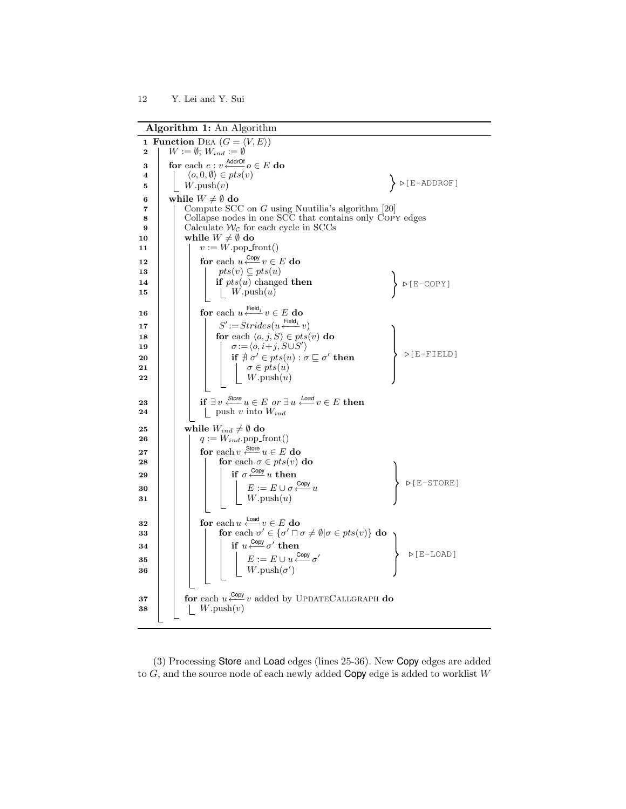Algorithm 1: An Algorithm

1 Function DEA  $(G = \langle V, E \rangle)$ 2 |  $W := \emptyset$ ;  $W_{ind} := \emptyset$ 3 for each  $e : v \xleftrightarrow{\mathsf{Addrof}} o \in E$  do 4 | |  $\langle o, 0, \emptyset \rangle \in pts(v)$  $\mathbf{5}$  |  $W.\text{push}(v)$  $\big\}$   $\triangleright$  [E-ADDROF] 6 while  $W \neq \emptyset$  do 7 | | Compute SCC on G using Nuutilia's algorithm [20] 8 | | Collapse nodes in one SCC that contains only COPY edges 9 | Calculate  $\mathcal{W}_{\mathcal{C}}$  for each cycle in SCCs 10 while  $W \neq \emptyset$  do 11 | |  $v := W$ .pop\_front() 12 for each  $u \stackrel{\text{Copy}}{\longleftarrow} v \in E$  do 13 | |  $pts(v) \subseteq pts(u)$ 14 | | | if  $pts(u)$  changed then 15  $\vert \vert \vert \vert \vert \vert \vert \vert \vert \vert \vert \overline{W}$ .push $(u)$  $\triangleright$ [E-COPY] 16 **for** each  $u \stackrel{\text{Field}_i}{\longleftarrow} v \in E$  do 17 | | |  $S$  $\mathcal{C}:=\operatorname{Strides}(u\stackrel{\mathsf{Field}_i}{\longleftarrow}v)$ 18 **for** each  $\langle o, j, S \rangle \in pts(v)$  do 19 | | | |  $\sigma := \langle o, i+j, S \cup S' \rangle$  $\begin{array}{|c|c|c|c|c|}\hline \text{20} & & \end{array} \begin{array}{|c|c|c|c|c|}\hline \text{ } & & \end{array} \text{ \quad if $\nexists \; \sigma' \in pts(u) : \sigma \sqsubseteq \sigma' $ $ then}$ 21 | | | | |  $\sigma \in pts(u)$ 22 | | | | |  $W.\text{push}(u)$  $\triangleright$  [E-FIELD] 23 **if**  $\exists v \stackrel{\text{Store}}{\longleftarrow} u \in E$  or  $\exists u \stackrel{\text{Load}}{\longleftarrow} v \in E$  then 24 | | | push v into  $W_{ind}$ 25 while  $W_{ind} \neq \emptyset$  do **26** | |  $q := W_{ind}$ .pop\_front() 27  $\vert \ \ \vert$  for each  $v \stackrel{\text{Store}}{\longleftarrow} u \in E$  do 28 **for** each  $\sigma \in pts(v)$  do 29  $\begin{array}{|c|c|c|c|}\n\hline\n\text{29} & \text{if } \sigma \xleftarrow{\text{Copy}} u \text{ then} \\
\hline\n\end{array}$ 30 E := E ∪ σ Copy ←−− u  $31 \mid \mid \mid \mid \mid \mid W.\text{push}(u)$  $\rhd$  [E-STORE] 32 for each  $u \stackrel{\text{load}}{\longleftarrow} v \in E$  do 33 **for each**  $\sigma' \in {\sigma' \sqcap \sigma \neq \emptyset | \sigma \in pts(v)}$  do  $\begin{array}{|c|c|c|c|c|}\hline \text{34} & & \end{array} \begin{array}{|c|c|c|c|c|}\hline \text{ } & & \end{array} \begin{array}{c} \text{if } u \stackrel{\mathsf{Copy}}{\longleftarrow} \sigma' \text{ then} \end{array}$ 35 E := E ∪ u Copy ←−− σ 0 36 | | | | |  $W.\text{push}(\sigma')$  $\rhd$  [E-LOAD] **37 for** each  $u \stackrel{\text{Copy}}{\longleftarrow} v$  added by UPDATECALLGRAPH do 38 | |  $W.\text{push}(v)$ 

(3) Processing Store and Load edges (lines 25-36). New Copy edges are added to  $G$ , and the source node of each newly added Copy edge is added to worklist  $W$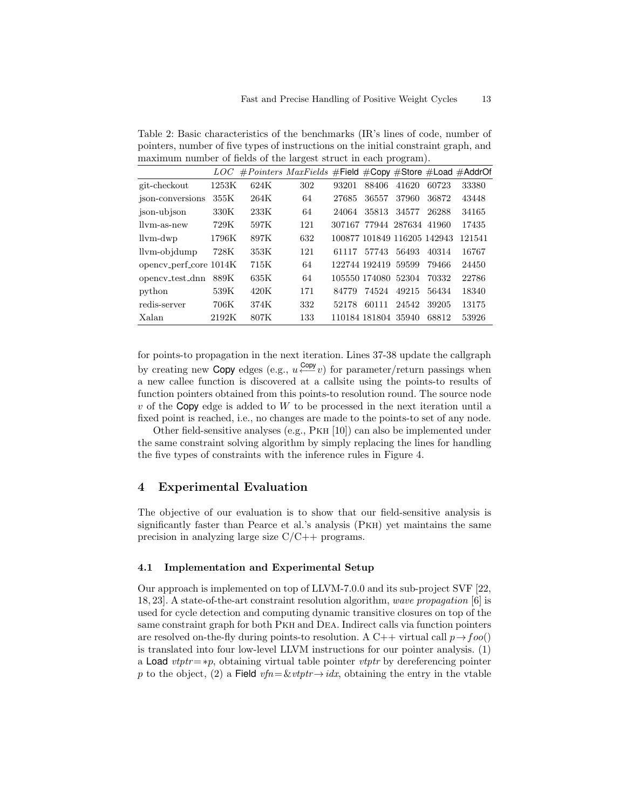|                        | munimum number or neads or the august struct in each program).<br>$LOC$ #Pointers MaxFields #Field #Copy #Store #Load #AddrOf |      |     |       |                     |                             |       |        |
|------------------------|-------------------------------------------------------------------------------------------------------------------------------|------|-----|-------|---------------------|-----------------------------|-------|--------|
|                        |                                                                                                                               |      |     |       |                     |                             |       |        |
| git-checkout           | 1253K                                                                                                                         | 624K | 302 | 93201 | 88406               | 41620                       | 60723 | 33380  |
| json-conversions       | 355K                                                                                                                          | 264K | 64  | 27685 | 36557               | 37960                       | 36872 | 43448  |
| json-ubjson            | 330K                                                                                                                          | 233K | 64  | 24064 | 35813               | 34577                       | 26288 | 34165  |
| llym-as-new            | 729K                                                                                                                          | 597K | 121 |       |                     | 307167 77944 287634 41960   |       | 17435  |
| llym-dwp               | 1796K                                                                                                                         | 897K | 632 |       |                     | 100877 101849 116205 142943 |       | 121541 |
| llym-objdump           | 728K                                                                                                                          | 353K | 121 | 61117 | 57743               | 56493                       | 40314 | 16767  |
| opency_perf_core 1014K |                                                                                                                               | 715K | 64  |       | 122744 192419 59599 |                             | 79466 | 24450  |
| opency_test_dnn        | 889K                                                                                                                          | 635K | 64  |       | 105550 174080 52304 |                             | 70332 | 22786  |
| python                 | 539K                                                                                                                          | 420K | 171 | 84779 | 74524               | 49215                       | 56434 | 18340  |
| redis-server           | 706K                                                                                                                          | 374K | 332 | 52178 | 60111               | 24542                       | 39205 | 13175  |
| Xalan                  | 2192K                                                                                                                         | 807K | 133 |       | 110184 181804 35940 |                             | 68812 | 53926  |

Table 2: Basic characteristics of the benchmarks (IR's lines of code, number of pointers, number of five types of instructions on the initial constraint graph, and maximum number of fields of the largest struct in each program).

for points-to propagation in the next iteration. Lines 37-38 update the callgraph by creating new Copy edges (e.g.,  $u \stackrel{Copy}{\longleftrightarrow} v$ ) for parameter/return passings when a new callee function is discovered at a callsite using the points-to results of function pointers obtained from this points-to resolution round. The source node  $v$  of the Copy edge is added to  $W$  to be processed in the next iteration until a fixed point is reached, i.e., no changes are made to the points-to set of any node.

Other field-sensitive analyses (e.g., Pkh [10]) can also be implemented under the same constraint solving algorithm by simply replacing the lines for handling the five types of constraints with the inference rules in Figure 4.

## 4 Experimental Evaluation

The objective of our evaluation is to show that our field-sensitive analysis is significantly faster than Pearce et al.'s analysis (Pkh) yet maintains the same precision in analyzing large size C/C++ programs.

## 4.1 Implementation and Experimental Setup

Our approach is implemented on top of LLVM-7.0.0 and its sub-project SVF [22, 18, 23]. A state-of-the-art constraint resolution algorithm, wave propagation [6] is used for cycle detection and computing dynamic transitive closures on top of the same constraint graph for both Pkh and Dea. Indirect calls via function pointers are resolved on-the-fly during points-to resolution. A C++ virtual call  $p \rightarrow foo()$ is translated into four low-level LLVM instructions for our pointer analysis. (1) a Load *vtptr*=∗p, obtaining virtual table pointer *vtptr* by dereferencing pointer p to the object, (2) a Field  $vfn = \& vtpr \rightarrow idx$ , obtaining the entry in the vtable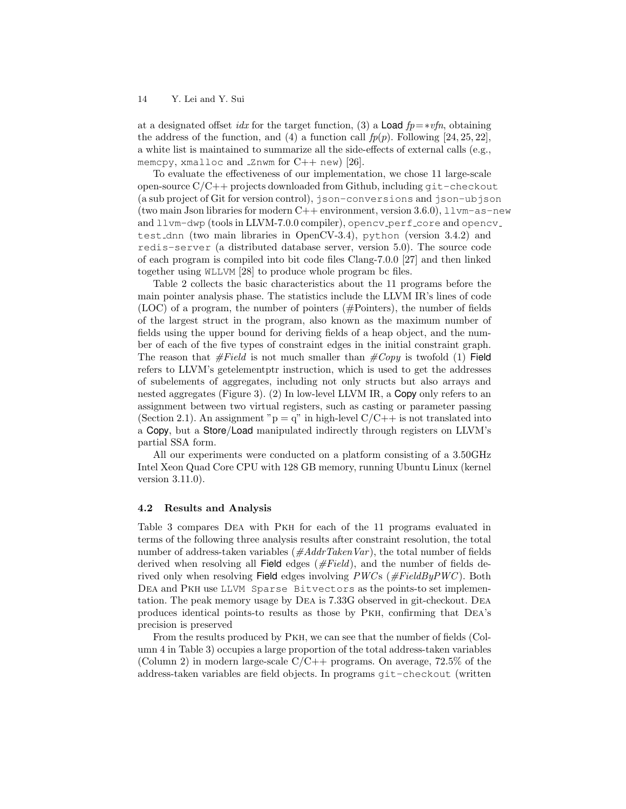at a designated offset *idx* for the target function, (3) a **Load**  $fp = *vfn$ , obtaining the address of the function, and (4) a function call  $fp(p)$ . Following [24, 25, 22], a white list is maintained to summarize all the side-effects of external calls (e.g., memcpy, xmalloc and  $Z$ nwm for  $C++$  new) [26].

To evaluate the effectiveness of our implementation, we chose 11 large-scale open-source  $C/C++$  projects downloaded from Github, including  $q$ it-checkout (a sub project of Git for version control), json-conversions and json-ubjson (two main Json libraries for modern  $C++$  environment, version 3.6.0),  $11 \text{vm}-as-new$ and  $11vm$ -dwp (tools in LLVM-7.0.0 compiler), opency-perf-core and opencytest dnn (two main libraries in OpenCV-3.4), python (version 3.4.2) and redis-server (a distributed database server, version 5.0). The source code of each program is compiled into bit code files Clang-7.0.0 [27] and then linked together using WLLVM [28] to produce whole program bc files.

Table 2 collects the basic characteristics about the 11 programs before the main pointer analysis phase. The statistics include the LLVM IR's lines of code (LOC) of a program, the number of pointers (#Pointers), the number of fields of the largest struct in the program, also known as the maximum number of fields using the upper bound for deriving fields of a heap object, and the number of each of the five types of constraint edges in the initial constraint graph. The reason that  $\#Field$  is not much smaller than  $\#Copy$  is twofold (1) Field refers to LLVM's getelementptr instruction, which is used to get the addresses of subelements of aggregates, including not only structs but also arrays and nested aggregates (Figure 3). (2) In low-level LLVM IR, a Copy only refers to an assignment between two virtual registers, such as casting or parameter passing (Section 2.1). An assignment " $p = q$ " in high-level  $C/C++$  is not translated into a Copy, but a Store/Load manipulated indirectly through registers on LLVM's partial SSA form.

All our experiments were conducted on a platform consisting of a 3.50GHz Intel Xeon Quad Core CPU with 128 GB memory, running Ubuntu Linux (kernel version 3.11.0).

## 4.2 Results and Analysis

Table 3 compares Dea with Pkh for each of the 11 programs evaluated in terms of the following three analysis results after constraint resolution, the total number of address-taken variables ( $#Addr TakenVar$ ), the total number of fields derived when resolving all Field edges  $(\#Field)$ , and the number of fields derived only when resolving Field edges involving  $PWC$  ( $#FieldByPWC$ ). Both Dea and Pkh use LLVM Sparse Bitvectors as the points-to set implementation. The peak memory usage by Dea is 7.33G observed in git-checkout. Dea produces identical points-to results as those by Pkh, confirming that Dea's precision is preserved

From the results produced by Pkh, we can see that the number of fields (Column 4 in Table 3) occupies a large proportion of the total address-taken variables (Column 2) in modern large-scale  $C/C++$  programs. On average, 72.5% of the address-taken variables are field objects. In programs git-checkout (written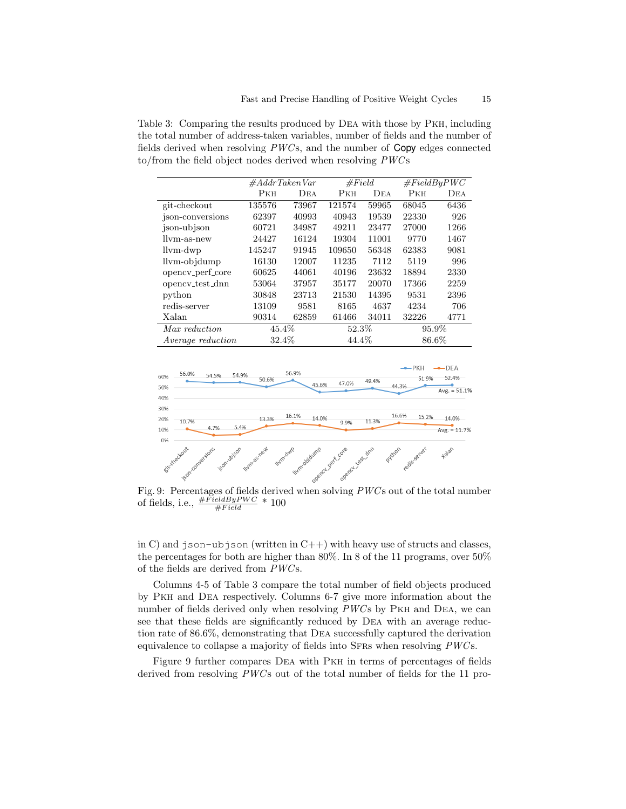Table 3: Comparing the results produced by Dea with those by Pkh, including the total number of address-taken variables, number of fields and the number of fields derived when resolving  $PWC_s$ , and the number of **Copy** edges connected to/from the field object nodes derived when resolving  $PWC$ s

|                          | $\#Addr$ TakenVar |       | #Field          |       | #FieldByPWC     |            |  |
|--------------------------|-------------------|-------|-----------------|-------|-----------------|------------|--|
|                          | P <sub>KH</sub>   | DEA   | P <sub>KH</sub> | DEA   | P <sub>KH</sub> | <b>DEA</b> |  |
| git-checkout             | 135576            | 73967 | 121574          | 59965 | 68045           | 6436       |  |
| json-conversions         | 62397             | 40993 | 40943           | 19539 | 22330           | 926        |  |
| json-ubjson              | 60721             | 34987 | 49211           | 23477 | 27000           | 1266       |  |
| llym-as-new              | 24427             | 16124 | 19304           | 11001 | 9770            | 1467       |  |
| llym-dwp                 | 145247            | 91945 | 109650          | 56348 | 62383           | 9081       |  |
| llym-objdump             | 16130             | 12007 | 11235           | 7112  | 5119            | 996        |  |
| opency_perf_core         | 60625             | 44061 | 40196           | 23632 | 18894           | 2330       |  |
| opency_test_dnn          | 53064             | 37957 | 35177           | 20070 | 17366           | 2259       |  |
| python                   | 30848             | 23713 | 21530           | 14395 | 9531            | 2396       |  |
| redis-server             | 13109             | 9581  | 8165            | 4637  | 4234            | 706        |  |
| Xalan                    | 90314             | 62859 | 61466           | 34011 | 32226           | 4771       |  |
| Max reduction            | 45.4%<br>32.4%    |       |                 | 52.3% |                 | 95.9%      |  |
| <i>Average reduction</i> |                   |       |                 | 44.4% |                 | 86.6%      |  |



of fields, i.e.,  $\frac{\#FieldByPWC}{\#Field} * 100$ 

in C) and json-ubjson (written in  $C++$ ) with heavy use of structs and classes, the percentages for both are higher than 80%. In 8 of the 11 programs, over 50% of the fields are derived from  $PWC$ s.

Columns 4-5 of Table 3 compare the total number of field objects produced by Pkh and Dea respectively. Columns 6-7 give more information about the number of fields derived only when resolving  $PWC$ s by PKH and DEA, we can see that these fields are significantly reduced by Dea with an average reduction rate of 86.6%, demonstrating that Dea successfully captured the derivation equivalence to collapse a majority of fields into SFRs when resolving  $PWCs$ .

Figure 9 further compares Dea with Pkh in terms of percentages of fields derived from resolving PWCs out of the total number of fields for the 11 pro-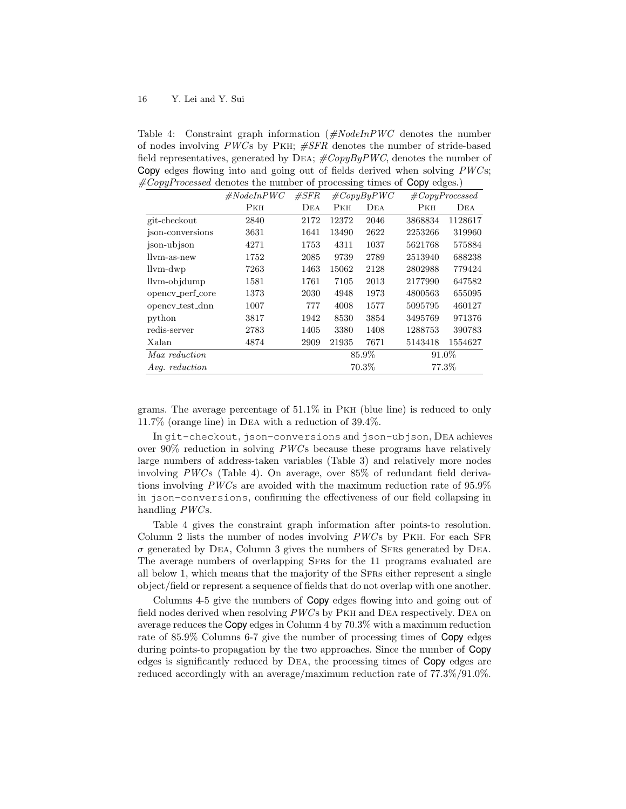Table 4: Constraint graph information  $(\text{Nmodel} nPWC)$  denotes the number of nodes involving  $PWCs$  by PKH;  $\#SFR$  denotes the number of stride-based field representatives, generated by DEA;  $\#CopyByPWC$ , denotes the number of Copy edges flowing into and going out of fields derived when solving  $PWC$ s;  $\text{\#CopyProcessed}$  denotes the number of processing times of Copy edges.)

|                  | $\#NodeInPWC$ | $\#SFR$ | $\#CopyByPWC$   |       |                 | $\#CopyProceeded$ |  |  |
|------------------|---------------|---------|-----------------|-------|-----------------|-------------------|--|--|
|                  | PKH           | DEA     | P <sub>KH</sub> | DEA   | P <sub>KH</sub> | DEA               |  |  |
| git-checkout     | 2840          | 2172    | 12372           | 2046  | 3868834         | 1128617           |  |  |
| json-conversions | 3631          | 1641    | 13490           | 2622  | 2253266         | 319960            |  |  |
| json-ubjson      | 4271          | 1753    | 4311            | 1037  | 5621768         | 575884            |  |  |
| llym-as-new      | 1752          | 2085    | 9739            | 2789  | 2513940         | 688238            |  |  |
| $llvm-dwp$       | 7263          | 1463    | 15062           | 2128  | 2802988         | 779424            |  |  |
| llym-objdump     | 1581          | 1761    | 7105            | 2013  | 2177990         | 647582            |  |  |
| opency_perf_core | 1373          | 2030    | 4948            | 1973  | 4800563         | 655095            |  |  |
| opency_test_dnn  | 1007          | 777     | 4008            | 1577  | 5095795         | 460127            |  |  |
| python           | 3817          | 1942    | 8530            | 3854  | 3495769         | 971376            |  |  |
| redis-server     | 2783          | 1405    | 3380            | 1408  | 1288753         | 390783            |  |  |
| Xalan            | 4874          | 2909    | 21935           | 7671  | 5143418         | 1554627           |  |  |
| Max reduction    |               |         |                 | 85.9% |                 | 91.0%             |  |  |
| Avg. reduction   |               |         |                 | 70.3% |                 | 77.3%             |  |  |

grams. The average percentage of 51.1% in Pkh (blue line) is reduced to only 11.7% (orange line) in Dea with a reduction of 39.4%.

In git-checkout, json-conversions and json-ubjson, Dea achieves over  $90\%$  reduction in solving  $PWC$  s because these programs have relatively large numbers of address-taken variables (Table 3) and relatively more nodes involving  $PWC$  s (Table 4). On average, over  $85\%$  of redundant field derivations involving  $PWC$  s are avoided with the maximum reduction rate of  $95.9\%$ in json-conversions, confirming the effectiveness of our field collapsing in handling  $PWC$ s.

Table 4 gives the constraint graph information after points-to resolution. Column 2 lists the number of nodes involving  $PWC$ s by PKH. For each SFR  $\sigma$  generated by DEA, Column 3 gives the numbers of SFRs generated by DEA. The average numbers of overlapping SFRs for the 11 programs evaluated are all below 1, which means that the majority of the Sfrs either represent a single object/field or represent a sequence of fields that do not overlap with one another.

Columns 4-5 give the numbers of Copy edges flowing into and going out of field nodes derived when resolving PWCs by PKH and DEA respectively. DEA on average reduces the Copy edges in Column 4 by 70.3% with a maximum reduction rate of 85.9% Columns 6-7 give the number of processing times of Copy edges during points-to propagation by the two approaches. Since the number of Copy edges is significantly reduced by Dea, the processing times of Copy edges are reduced accordingly with an average/maximum reduction rate of 77.3%/91.0%.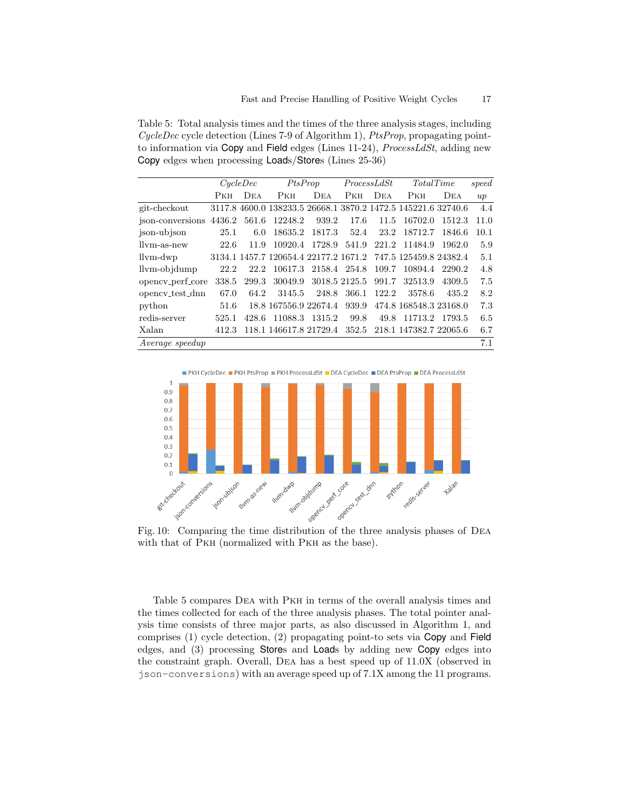Table 5: Total analysis times and the times of the three analysis stages, including  $CycleDec$  cycle detection (Lines 7-9 of Algorithm 1),  $PtsProp$ , propagating pointto information via Copy and Field edges (Lines 11-24), *ProcessLdSt*, adding new Copy edges when processing Loads/Stores (Lines 25-36)

|                  | CucleDec |            |                              | PtsProp       |                 | ProcessLdSt |                                                               | TotalTime  | speed |
|------------------|----------|------------|------------------------------|---------------|-----------------|-------------|---------------------------------------------------------------|------------|-------|
|                  | Ркн      | <b>DEA</b> | P <sub>KH</sub>              | DEA           | P <sub>KH</sub> | DEA         | P <sub>KH</sub>                                               | <b>DEA</b> | up    |
| git-checkout     |          |            |                              |               |                 |             | 3117.8 4600.0 138233.5 26668.1 3870.2 1472.5 145221.6 32740.6 |            | 4.4   |
| ison-conversions | 4436.2   | 561.6      | 12248.2                      | 939.2         | 17.6            | 11.5        | 16702.0                                                       | 1512.3     | 11.0  |
| json-ubjson      | 25.1     | 6.0        | 18635.2                      | 1817.3        | 52.4            | 23.2        | 18712.7                                                       | 1846.6     | 10.1  |
| llym-as-new      | 22.6     | 11.9       | 10920.4                      | 1728.9        | 541.9           | 221.2       | 11484.9                                                       | 1962.0     | 5.9   |
| $llvm-dwp$       |          |            |                              |               |                 |             | 3134.1 1457.7 120654.4 22177.2 1671.2 747.5 125459.8 24382.4  |            | 5.1   |
| llym-objdump     | 22.2     | 22.2       | 10617.3                      | 2158.4 254.8  |                 | 109.7       | 10894.4                                                       | 2290.2     | 4.8   |
| opency_perf_core | 338.5    | 299.3      | 30049.9                      | 3018.5 2125.5 |                 | 991.7       | 32513.9                                                       | 4309.5     | 7.5   |
| opency_test_dnn  | 67.0     | 64.2       | 3145.5                       | 248.8         | 366.1           | 122.2       | 3578.6                                                        | 435.2      | 8.2   |
| python           | 51.6     |            | 18.8 167556.9 22674.4        |               | 939.9           |             | 474.8 168548.3 23168.0                                        |            | 7.3   |
| redis-server     | 525.1    | 428.6      | 11088.3 1315.2               |               | 99.8            | 49.8        | 11713.2                                                       | 1793.5     | 6.5   |
| Xalan            | 412.3    |            | 118.1 146617.8 21729.4 352.5 |               |                 |             | 218.1 147382.7 22065.6                                        |            | 6.7   |
| Average speedup  |          |            |                              |               |                 |             |                                                               |            | 7.1   |



with that of Pkh (normalized with Pkh as the base).

Table 5 compares Dea with Pkh in terms of the overall analysis times and the times collected for each of the three analysis phases. The total pointer analysis time consists of three major parts, as also discussed in Algorithm 1, and comprises (1) cycle detection, (2) propagating point-to sets via Copy and Field edges, and (3) processing Stores and Loads by adding new Copy edges into the constraint graph. Overall, Dea has a best speed up of 11.0X (observed in json-conversions) with an average speed up of 7.1X among the 11 programs.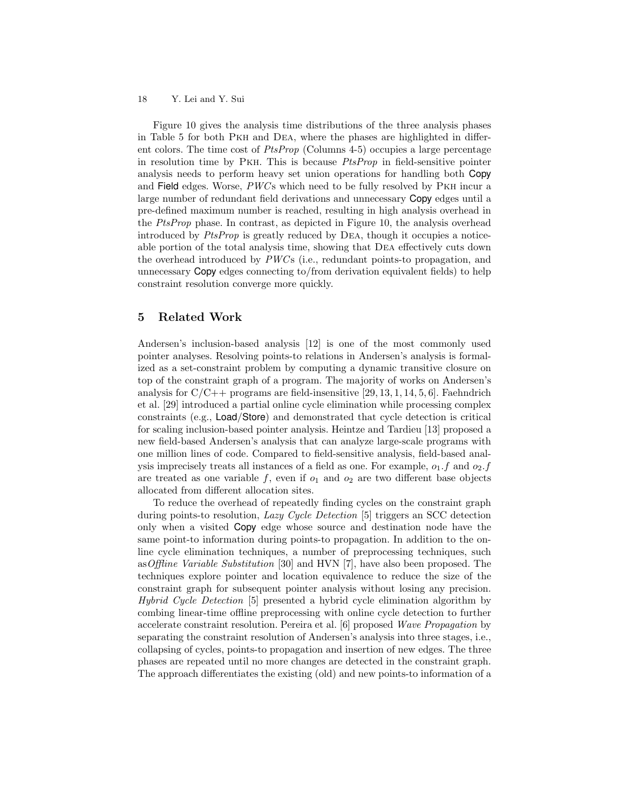Figure 10 gives the analysis time distributions of the three analysis phases in Table 5 for both Pkh and Dea, where the phases are highlighted in different colors. The time cost of  $PtsProp$  (Columns 4-5) occupies a large percentage in resolution time by Pkh. This is because PtsProp in field-sensitive pointer analysis needs to perform heavy set union operations for handling both Copy and Field edges. Worse,  $PWCs$  which need to be fully resolved by PKH incur a large number of redundant field derivations and unnecessary Copy edges until a pre-defined maximum number is reached, resulting in high analysis overhead in the PtsProp phase. In contrast, as depicted in Figure 10, the analysis overhead introduced by PtsProp is greatly reduced by Dea, though it occupies a noticeable portion of the total analysis time, showing that Dea effectively cuts down the overhead introduced by  $PWC_s$  (i.e., redundant points-to propagation, and unnecessary Copy edges connecting to/from derivation equivalent fields) to help constraint resolution converge more quickly.

# 5 Related Work

Andersen's inclusion-based analysis [12] is one of the most commonly used pointer analyses. Resolving points-to relations in Andersen's analysis is formalized as a set-constraint problem by computing a dynamic transitive closure on top of the constraint graph of a program. The majority of works on Andersen's analysis for  $C/C++$  programs are field-insensitive [29, 13, 1, 14, 5, 6]. Faehndrich et al. [29] introduced a partial online cycle elimination while processing complex constraints (e.g., Load/Store) and demonstrated that cycle detection is critical for scaling inclusion-based pointer analysis. Heintze and Tardieu [13] proposed a new field-based Andersen's analysis that can analyze large-scale programs with one million lines of code. Compared to field-sensitive analysis, field-based analysis imprecisely treats all instances of a field as one. For example,  $o_1$ , f and  $o_2$ , f are treated as one variable f, even if  $o_1$  and  $o_2$  are two different base objects allocated from different allocation sites.

To reduce the overhead of repeatedly finding cycles on the constraint graph during points-to resolution, Lazy Cycle Detection [5] triggers an SCC detection only when a visited Copy edge whose source and destination node have the same point-to information during points-to propagation. In addition to the online cycle elimination techniques, a number of preprocessing techniques, such asOffline Variable Substitution [30] and HVN [7], have also been proposed. The techniques explore pointer and location equivalence to reduce the size of the constraint graph for subsequent pointer analysis without losing any precision. Hybrid Cycle Detection [5] presented a hybrid cycle elimination algorithm by combing linear-time offline preprocessing with online cycle detection to further accelerate constraint resolution. Pereira et al. [6] proposed Wave Propagation by separating the constraint resolution of Andersen's analysis into three stages, i.e., collapsing of cycles, points-to propagation and insertion of new edges. The three phases are repeated until no more changes are detected in the constraint graph. The approach differentiates the existing (old) and new points-to information of a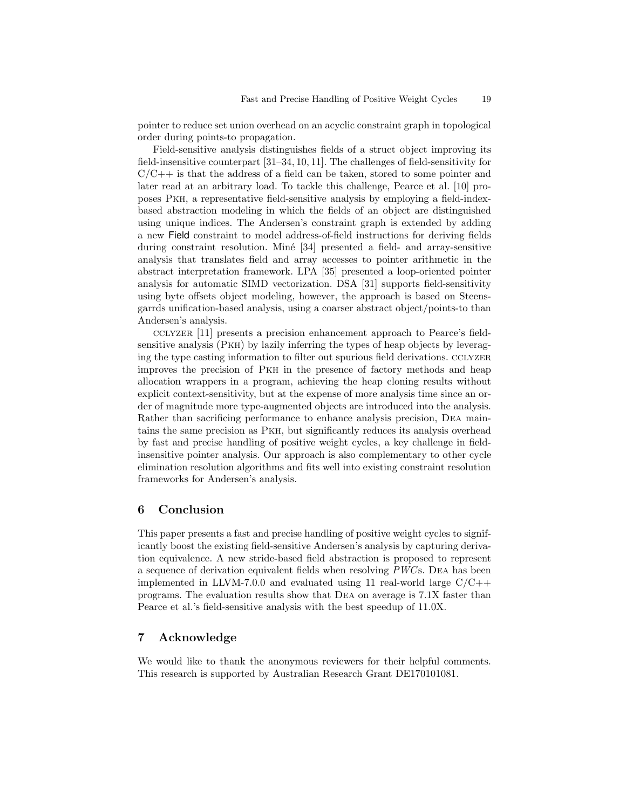pointer to reduce set union overhead on an acyclic constraint graph in topological order during points-to propagation.

Field-sensitive analysis distinguishes fields of a struct object improving its field-insensitive counterpart [31–34, 10, 11]. The challenges of field-sensitivity for  $C/C++$  is that the address of a field can be taken, stored to some pointer and later read at an arbitrary load. To tackle this challenge, Pearce et al. [10] proposes Pkh, a representative field-sensitive analysis by employing a field-indexbased abstraction modeling in which the fields of an object are distinguished using unique indices. The Andersen's constraint graph is extended by adding a new Field constraint to model address-of-field instructions for deriving fields during constraint resolution. Miné [34] presented a field- and array-sensitive analysis that translates field and array accesses to pointer arithmetic in the abstract interpretation framework. LPA [35] presented a loop-oriented pointer analysis for automatic SIMD vectorization. DSA [31] supports field-sensitivity using byte offsets object modeling, however, the approach is based on Steensgarrds unification-based analysis, using a coarser abstract object/points-to than Andersen's analysis.

cclyzer [11] presents a precision enhancement approach to Pearce's fieldsensitive analysis (Pkh) by lazily inferring the types of heap objects by leveraging the type casting information to filter out spurious field derivations. cclyzer improves the precision of Pkh in the presence of factory methods and heap allocation wrappers in a program, achieving the heap cloning results without explicit context-sensitivity, but at the expense of more analysis time since an order of magnitude more type-augmented objects are introduced into the analysis. Rather than sacrificing performance to enhance analysis precision, Dea maintains the same precision as Pkh, but significantly reduces its analysis overhead by fast and precise handling of positive weight cycles, a key challenge in fieldinsensitive pointer analysis. Our approach is also complementary to other cycle elimination resolution algorithms and fits well into existing constraint resolution frameworks for Andersen's analysis.

## 6 Conclusion

This paper presents a fast and precise handling of positive weight cycles to significantly boost the existing field-sensitive Andersen's analysis by capturing derivation equivalence. A new stride-based field abstraction is proposed to represent a sequence of derivation equivalent fields when resolving  $PWC$  s. DEA has been implemented in LLVM-7.0.0 and evaluated using 11 real-world large  $C/C++$ programs. The evaluation results show that Dea on average is 7.1X faster than Pearce et al.'s field-sensitive analysis with the best speedup of 11.0X.

# 7 Acknowledge

We would like to thank the anonymous reviewers for their helpful comments. This research is supported by Australian Research Grant DE170101081.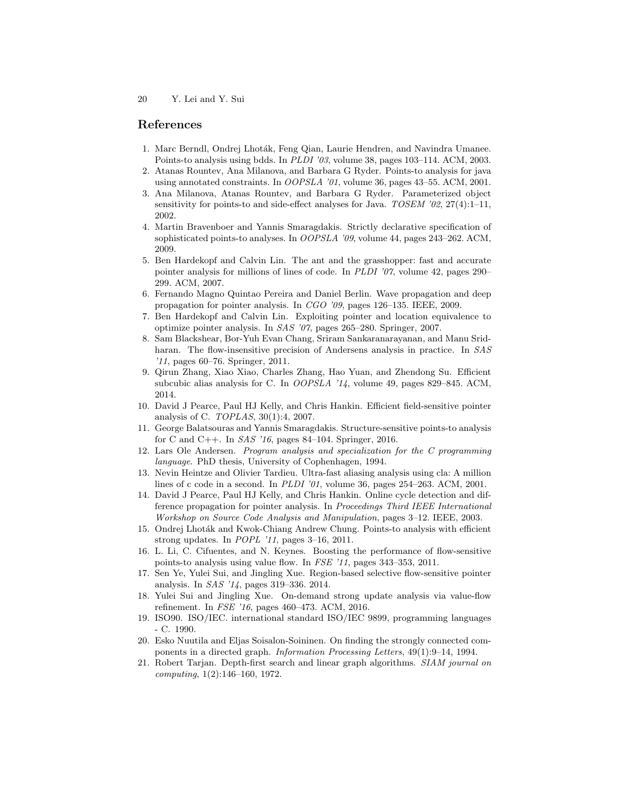## References

- 1. Marc Berndl, Ondrej Lhoták, Feng Qian, Laurie Hendren, and Navindra Umanee. Points-to analysis using bdds. In PLDI '03, volume 38, pages 103–114. ACM, 2003.
- 2. Atanas Rountev, Ana Milanova, and Barbara G Ryder. Points-to analysis for java using annotated constraints. In OOPSLA '01, volume 36, pages 43–55. ACM, 2001.
- 3. Ana Milanova, Atanas Rountev, and Barbara G Ryder. Parameterized object sensitivity for points-to and side-effect analyses for Java.  $TOSEM' 02, 27(4):1-11$ , 2002.
- 4. Martin Bravenboer and Yannis Smaragdakis. Strictly declarative specification of sophisticated points-to analyses. In OOPSLA '09, volume 44, pages 243–262. ACM, 2009.
- 5. Ben Hardekopf and Calvin Lin. The ant and the grasshopper: fast and accurate pointer analysis for millions of lines of code. In PLDI '07, volume 42, pages 290– 299. ACM, 2007.
- 6. Fernando Magno Quintao Pereira and Daniel Berlin. Wave propagation and deep propagation for pointer analysis. In CGO '09, pages 126–135. IEEE, 2009.
- 7. Ben Hardekopf and Calvin Lin. Exploiting pointer and location equivalence to optimize pointer analysis. In SAS '07, pages 265–280. Springer, 2007.
- 8. Sam Blackshear, Bor-Yuh Evan Chang, Sriram Sankaranarayanan, and Manu Sridharan. The flow-insensitive precision of Andersens analysis in practice. In SAS '11, pages 60–76. Springer, 2011.
- 9. Qirun Zhang, Xiao Xiao, Charles Zhang, Hao Yuan, and Zhendong Su. Efficient subcubic alias analysis for C. In OOPSLA '14, volume 49, pages 829–845. ACM, 2014.
- 10. David J Pearce, Paul HJ Kelly, and Chris Hankin. Efficient field-sensitive pointer analysis of C. TOPLAS, 30(1):4, 2007.
- 11. George Balatsouras and Yannis Smaragdakis. Structure-sensitive points-to analysis for C and C++. In SAS '16, pages 84–104. Springer, 2016.
- 12. Lars Ole Andersen. Program analysis and specialization for the C programming language. PhD thesis, University of Cophenhagen, 1994.
- 13. Nevin Heintze and Olivier Tardieu. Ultra-fast aliasing analysis using cla: A million lines of c code in a second. In PLDI '01, volume 36, pages 254–263. ACM, 2001.
- 14. David J Pearce, Paul HJ Kelly, and Chris Hankin. Online cycle detection and difference propagation for pointer analysis. In Proceedings Third IEEE International Workshop on Source Code Analysis and Manipulation, pages 3–12. IEEE, 2003.
- 15. Ondrej Lhoták and Kwok-Chiang Andrew Chung. Points-to analysis with efficient strong updates. In POPL '11, pages 3–16, 2011.
- 16. L. Li, C. Cifuentes, and N. Keynes. Boosting the performance of flow-sensitive points-to analysis using value flow. In FSE '11, pages 343–353, 2011.
- 17. Sen Ye, Yulei Sui, and Jingling Xue. Region-based selective flow-sensitive pointer analysis. In SAS '14, pages 319–336. 2014.
- 18. Yulei Sui and Jingling Xue. On-demand strong update analysis via value-flow refinement. In FSE '16, pages 460–473. ACM, 2016.
- 19. ISO90. ISO/IEC. international standard ISO/IEC 9899, programming languages - C. 1990.
- 20. Esko Nuutila and Eljas Soisalon-Soininen. On finding the strongly connected components in a directed graph. Information Processing Letters, 49(1):9–14, 1994.
- 21. Robert Tarjan. Depth-first search and linear graph algorithms. SIAM journal on computing, 1(2):146–160, 1972.